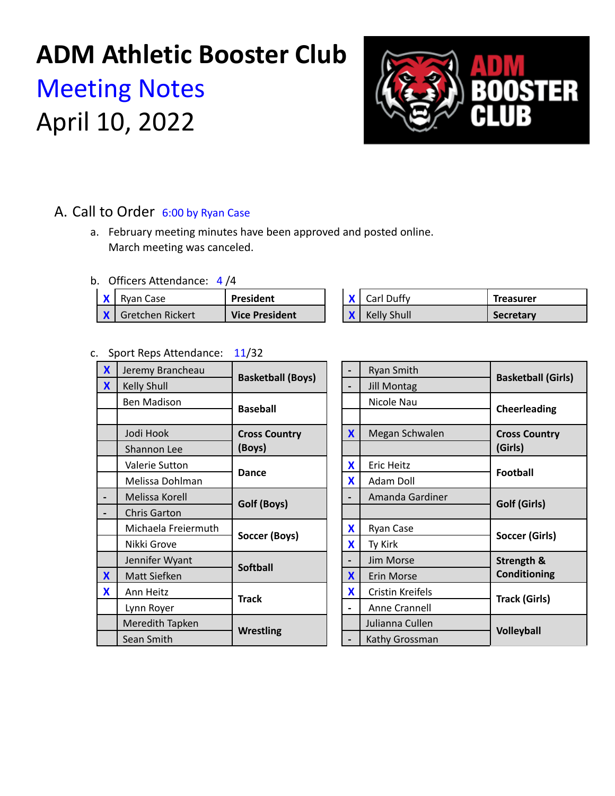## **ADM Athletic Booster Club**

# Meeting Notes April 10, 2022



## A. Call to Order 6:00 by Ryan Case

a. February meeting minutes have been approved and posted online. March meeting was canceled.

b. Officers Attendance: 4 /4

| Rvan Case                   | President             |  | Carl Duffy  | Treasurer        |
|-----------------------------|-----------------------|--|-------------|------------------|
| <b>X</b>   Gretchen Rickert | <b>Vice President</b> |  | Kelly Shull | <b>Secretary</b> |

## c. Sport Reps Attendance: 11/32

| $\mathbf x$  | Jeremy Brancheau    | <b>Basketball (Boys)</b> |  |   | Ryan Smith         | <b>Basketball (G</b>  |
|--------------|---------------------|--------------------------|--|---|--------------------|-----------------------|
| $\mathbf{X}$ | Kelly Shull         |                          |  |   | <b>Jill Montag</b> |                       |
|              | <b>Ben Madison</b>  |                          |  |   | Nicole Nau         |                       |
|              |                     | <b>Baseball</b>          |  |   |                    | Cheerleading          |
|              | Jodi Hook           | <b>Cross Country</b>     |  | X | Megan Schwalen     | <b>Cross Country</b>  |
|              | Shannon Lee         | (Boys)                   |  |   |                    | (Girls)               |
|              | Valerie Sutton      | <b>Dance</b>             |  | X | <b>Eric Heitz</b>  |                       |
|              | Melissa Dohlman     |                          |  | X | Adam Doll          | <b>Football</b>       |
|              | Melissa Korell      | Golf (Boys)              |  |   | Amanda Gardiner    | Golf (Girls)          |
|              | <b>Chris Garton</b> |                          |  |   |                    |                       |
|              | Michaela Freiermuth | Soccer (Boys)            |  | X | Ryan Case          | <b>Soccer (Girls)</b> |
|              | Nikki Grove         |                          |  | X | Ty Kirk            |                       |
|              | Jennifer Wyant      | <b>Softball</b>          |  |   | Jim Morse          | Strength &            |
| $\mathbf{X}$ | Matt Siefken        |                          |  | X | Erin Morse         | <b>Conditioning</b>   |
| X            | Ann Heitz           | <b>Track</b>             |  | X | Cristin Kreifels   |                       |
|              | Lynn Royer          |                          |  |   | Anne Crannell      | <b>Track (Girls)</b>  |
|              | Meredith Tapken     | <b>Wrestling</b>         |  |   | Julianna Cullen    | <b>Volleyball</b>     |
|              | Sean Smith          |                          |  |   | Kathy Grossman     |                       |

|                         | <b>Ryan Smith</b>    | <b>Basketball (Girls)</b>                           |  |
|-------------------------|----------------------|-----------------------------------------------------|--|
|                         | <b>Jill Montag</b>   |                                                     |  |
|                         | Nicole Nau           | <b>Cheerleading</b>                                 |  |
|                         |                      |                                                     |  |
| X                       | Megan Schwalen       | <b>Cross Country</b>                                |  |
|                         |                      | (Girls)                                             |  |
| X                       | Eric Heitz           | <b>Football</b>                                     |  |
| X                       | Adam Doll            |                                                     |  |
|                         | Amanda Gardiner      | Golf (Girls)                                        |  |
|                         |                      |                                                     |  |
| X                       | Ryan Case            | Soccer (Girls)<br>Strength &<br><b>Conditioning</b> |  |
| X                       | Ty Kirk              |                                                     |  |
|                         | Jim Morse            |                                                     |  |
| $\overline{\mathbf{X}}$ | Erin Morse           |                                                     |  |
| X                       | Cristin Kreifels     | <b>Track (Girls)</b>                                |  |
|                         | <b>Anne Crannell</b> |                                                     |  |
|                         | Julianna Cullen      | <b>Volleyball</b>                                   |  |
|                         | Kathy Grossman       |                                                     |  |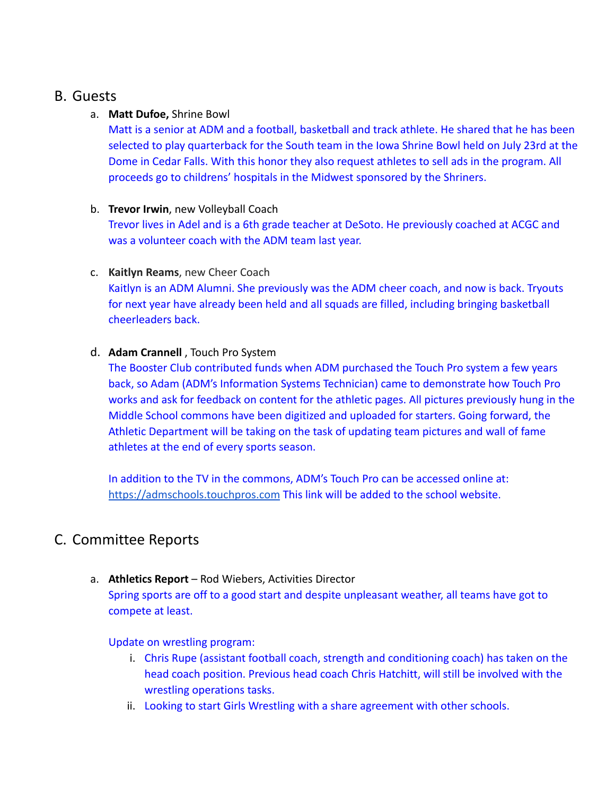## B. Guests

## a. **Matt Dufoe,** Shrine Bowl

Matt is a senior at ADM and a football, basketball and track athlete. He shared that he has been selected to play quarterback for the South team in the Iowa Shrine Bowl held on July 23rd at the Dome in Cedar Falls. With this honor they also request athletes to sell ads in the program. All proceeds go to childrens' hospitals in the Midwest sponsored by the Shriners.

## b. **Trevor Irwin**, new Volleyball Coach

Trevor lives in Adel and is a 6th grade teacher at DeSoto. He previously coached at ACGC and was a volunteer coach with the ADM team last year.

## c. **Kaitlyn Reams**, new Cheer Coach

Kaitlyn is an ADM Alumni. She previously was the ADM cheer coach, and now is back. Tryouts for next year have already been held and all squads are filled, including bringing basketball cheerleaders back.

## d. **Adam Crannell** , Touch Pro System

The Booster Club contributed funds when ADM purchased the Touch Pro system a few years back, so Adam (ADM's Information Systems Technician) came to demonstrate how Touch Pro works and ask for feedback on content for the athletic pages. All pictures previously hung in the Middle School commons have been digitized and uploaded for starters. Going forward, the Athletic Department will be taking on the task of updating team pictures and wall of fame athletes at the end of every sports season.

In addition to the TV in the commons, ADM's Touch Pro can be accessed online at: [https://admschools.touchpros.com](https://admschools.touchpros.com/) This link will be added to the school website.

## C. Committee Reports

## a. **Athletics Report** – Rod Wiebers, Activities Director

Spring sports are off to a good start and despite unpleasant weather, all teams have got to compete at least.

## Update on wrestling program:

- i. Chris Rupe (assistant football coach, strength and conditioning coach) has taken on the head coach position. Previous head coach Chris Hatchitt, will still be involved with the wrestling operations tasks.
- ii. Looking to start Girls Wrestling with a share agreement with other schools.